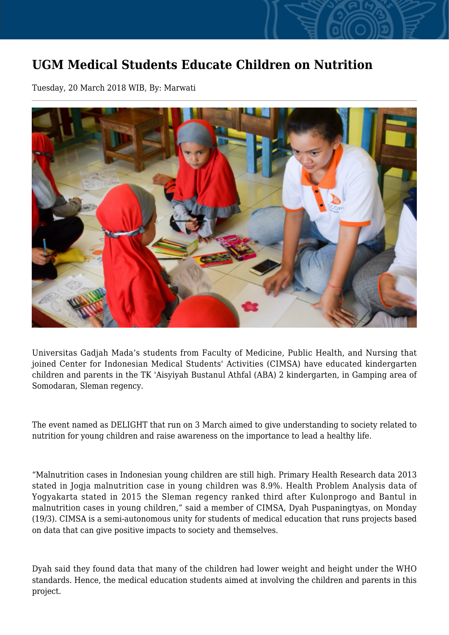## **UGM Medical Students Educate Children on Nutrition**

Tuesday, 20 March 2018 WIB, By: Marwati



Universitas Gadjah Mada's students from Faculty of Medicine, Public Health, and Nursing that joined Center for Indonesian Medical Students' Activities (CIMSA) have educated kindergarten children and parents in the TK 'Aisyiyah Bustanul Athfal (ABA) 2 kindergarten, in Gamping area of Somodaran, Sleman regency.

The event named as DELIGHT that run on 3 March aimed to give understanding to society related to nutrition for young children and raise awareness on the importance to lead a healthy life.

"Malnutrition cases in Indonesian young children are still high. Primary Health Research data 2013 stated in Jogja malnutrition case in young children was 8.9%. Health Problem Analysis data of Yogyakarta stated in 2015 the Sleman regency ranked third after Kulonprogo and Bantul in malnutrition cases in young children," said a member of CIMSA, Dyah Puspaningtyas, on Monday (19/3). CIMSA is a semi-autonomous unity for students of medical education that runs projects based on data that can give positive impacts to society and themselves.

Dyah said they found data that many of the children had lower weight and height under the WHO standards. Hence, the medical education students aimed at involving the children and parents in this project.